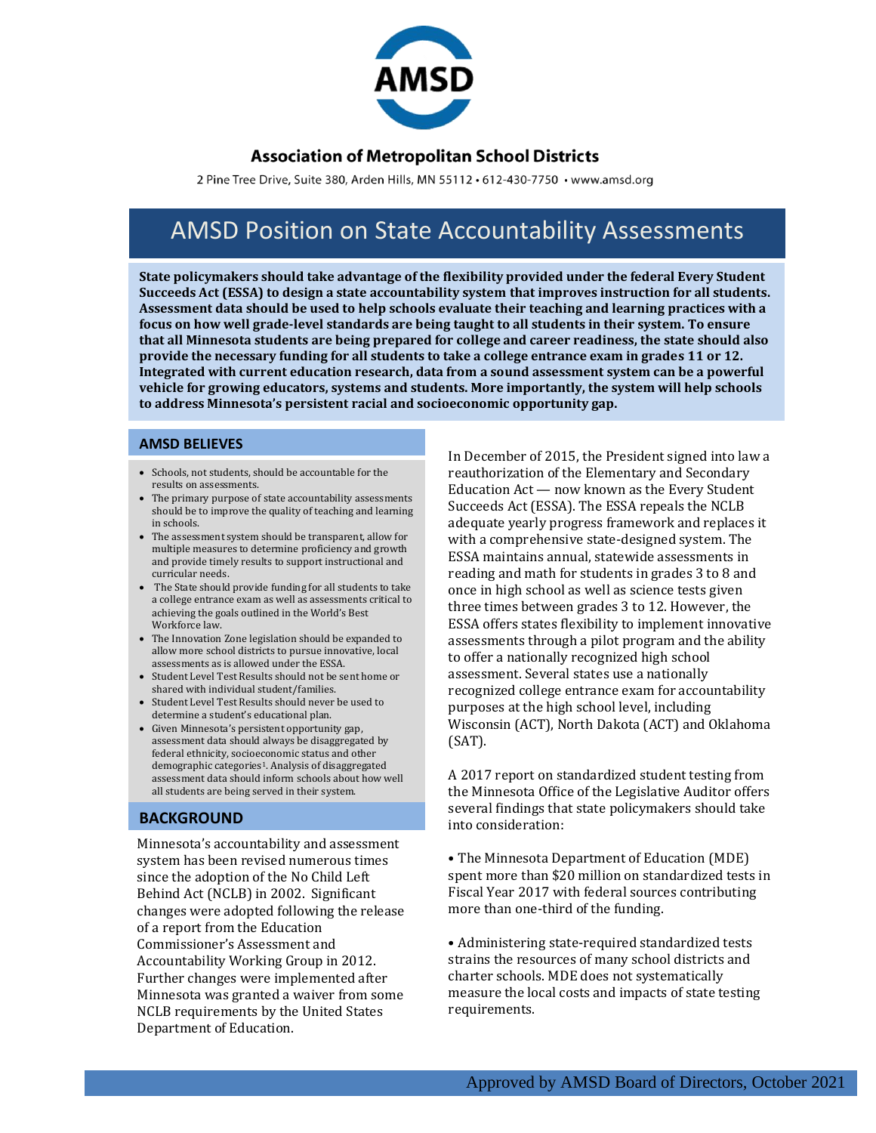

### **Association of Metropolitan School Districts**

2 Pine Tree Drive, Suite 380, Arden Hills, MN 55112 · 612-430-7750 · www.amsd.org

# AMSD Position on State Accountability Assessments

**State policymakers should take advantage of the flexibility provided under the federal Every Student Succeeds Act (ESSA) to design a state accountability system that improves instruction for all students. Assessment data should be used to help schools evaluate their teaching and learning practices with a focus on how well grade-level standards are being taught to all students in their system. To ensure that all Minnesota students are being prepared for college and career readiness, the state should also provide the necessary funding for all students to take a college entrance exam in grades 11 or 12. Integrated with current education research, data from a sound assessment system can be a powerful vehicle for growing educators, systems and students. More importantly, the system will help schools to address Minnesota's persistent racial and socioeconomic opportunity gap.** 

#### **AMSD BELIEVES**

- Schools, not students, should be accountable for the results on assessments.
- The primary purpose of state accountability assessments should be to improve the quality of teaching and learning in schools.
- The assessment system should be transparent, allow for multiple measures to determine proficiency and growth and provide timely results to support instructional and curricular needs.
- The State should provide funding for all students to take a college entrance exam as well as assessments critical to achieving the goals outlined in the World's Best Workforce law.
- The Innovation Zone legislation should be expanded to allow more school districts to pursue innovative, local assessments as is allowed under the ESSA.
- Student Level Test Results should not be sent home or shared with individual student/families.
- Student Level Test Results should never be used to determine a student's educational plan.
- Given Minnesota's persistent opportunity gap, assessment data should always be disaggregated by federal ethnicity, socioeconomic status and other demographic categories<sup>1</sup>. Analysis of disaggregated assessment data should inform schools about how well all students are being served in their system.

### **BACKGROUND**

Minnesota's accountability and assessment system has been revised numerous times since the adoption of the No Child Left Behind Act (NCLB) in 2002. Significant changes were adopted following the release of a report from the Education Commissioner's Assessment and Accountability Working Group in 2012. Further changes were implemented after Minnesota was granted a waiver from some NCLB requirements by the United States Department of Education.

In December of 2015, the President signed into law a reauthorization of the Elementary and Secondary Education Act — now known as the Every Student Succeeds Act (ESSA). The ESSA repeals the NCLB adequate yearly progress framework and replaces it with a comprehensive state-designed system. The ESSA maintains annual, statewide assessments in reading and math for students in grades 3 to 8 and once in high school as well as science tests given three times between grades 3 to 12. However, the ESSA offers states flexibility to implement innovative assessments through a pilot program and the ability to offer a nationally recognized high school assessment. Several states use a nationally recognized college entrance exam for accountability purposes at the high school level, including Wisconsin (ACT), North Dakota (ACT) and Oklahoma (SAT).

A 2017 report on standardized student testing from the Minnesota Office of the Legislative Auditor offers several findings that state policymakers should take into consideration:

• The Minnesota Department of Education (MDE) spent more than \$20 million on standardized tests in Fiscal Year 2017 with federal sources contributing more than one-third of the funding.

• Administering state-required standardized tests strains the resources of many school districts and charter schools. MDE does not systematically measure the local costs and impacts of state testing requirements.